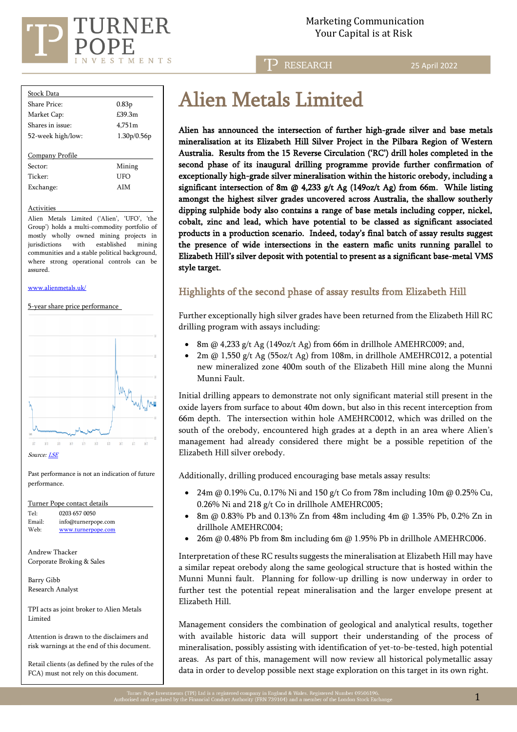

**RESEARCH** 

25 April 2022

| <b>Stock Data</b>   |             |  |  |  |  |  |
|---------------------|-------------|--|--|--|--|--|
| Share Price:        | 0.83p       |  |  |  |  |  |
| Market Cap:         | £39.3m      |  |  |  |  |  |
| Shares in issue:    | 4.751m      |  |  |  |  |  |
| 52-week high/low:   | 1.30p/0.56p |  |  |  |  |  |
|                     |             |  |  |  |  |  |
| Company Profile     |             |  |  |  |  |  |
| Sector:             | Mining      |  |  |  |  |  |
| Ticker <sup>.</sup> | LIFO        |  |  |  |  |  |
| Exchange:           | AIM         |  |  |  |  |  |
|                     |             |  |  |  |  |  |

#### **Activities**

Alien Metals Limited ('Alien', 'UFO', 'the Group') holds a multi-commodity portfolio of mostly wholly owned mining projects in jurisdictions with established mining communities and a stable political background, where strong operational controls can be assured.

#### [www.alienmetals.uk/](http://www.alienmetals.uk/)

5-year share price performance



Past performance is not an indication of future performance.

Turner Pope contact details Tel: [0203](tel:0203) 657 0050 Email: [info@turnerpope.com](mailto:info@turnerpope.com)<br>Web: www.turnerpope.com Web: [www.turnerpope.com](http://www.turnerpope.com/)

Andrew Thacker Corporate Broking & Sales

Barry Gibb Research Analyst

TPI acts as joint broker to Alien Metals Limited

Attention is drawn to the disclaimers and risk warnings at the end of this document.

Retail clients (as defined by the rules of the FCA) must not rely on this document.

## Alien Metals Limited

Alien has announced the intersection of further high-grade silver and base metals mineralisation at its Elizabeth Hill Silver Project in the Pilbara Region of Western Australia. Results from the 15 Reverse Circulation ('RC') drill holes completed in the second phase of its inaugural drilling programme provide further confirmation of exceptionally high-grade silver mineralisation within the historic orebody, including a significant intersection of 8m  $\omega$  4,233 g/t Ag (149oz/t Ag) from 66m. While listing amongst the highest silver grades uncovered across Australia, the shallow southerly dipping sulphide body also contains a range of base metals including copper, nickel, cobalt, zinc and lead, which have potential to be classed as significant associated products in a production scenario. Indeed, today's final batch of assay results suggest the presence of wide intersections in the eastern mafic units running parallel to Elizabeth Hill's silver deposit with potential to present as a significant base-metal VMS style target.

### Highlights of the second phase of assay results from Elizabeth Hill

Further exceptionally high silver grades have been returned from the Elizabeth Hill RC drilling program with assays including:

- 8m @ 4,233 g/t Ag (149oz/t Ag) from 66m in drillhole AMEHRC009; and,
- 2m @ 1,550 g/t Ag (55oz/t Ag) from 108m, in drillhole AMEHRC012, a potential new mineralized zone 400m south of the Elizabeth Hill mine along the Munni Munni Fault.

Initial drilling appears to demonstrate not only significant material still present in the oxide layers from surface to about 40m down, but also in this recent interception from 66m depth. The intersection within hole AMEHRC0012, which was drilled on the south of the orebody, encountered high grades at a depth in an area where Alien's management had already considered there might be a possible repetition of the Elizabeth Hill silver orebody.

Additionally, drilling produced encouraging base metals assay results:

- 24m @ 0.19% Cu, 0.17% Ni and 150  $g/t$  Co from 78m including 10m @ 0.25% Cu, 0.26% Ni and 218 g/t Co in drillhole AMEHRC005;
- 8m @ 0.83% Pb and 0.13% Zn from 48m including  $4m$  @ 1.35% Pb, 0.2% Zn in drillhole AMEHRC004;
- 26m @ 0.48% Pb from 8m including 6m @ 1.95% Pb in drillhole AMEHRC006.

Interpretation of these RC results suggests the mineralisation at Elizabeth Hill may have a similar repeat orebody along the same geological structure that is hosted within the Munni Munni fault. Planning for follow-up drilling is now underway in order to further test the potential repeat mineralisation and the larger envelope present at Elizabeth Hill.

Management considers the combination of geological and analytical results, together with available historic data will support their understanding of the process of mineralisation, possibly assisting with identification of yet-to-be-tested, high potential areas. As part of this, management will now review all historical polymetallic assay data in order to develop possible next stage exploration on this target in its own right.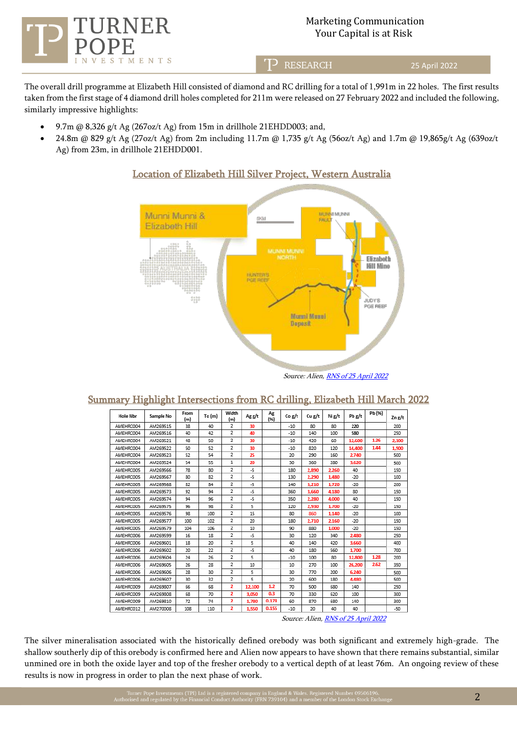

### Marketing Communication Your Capital is at Risk

כד **RESEARCH**  25 April 2022

The overall drill programme at Elizabeth Hill consisted of diamond and RC drilling for a total of 1,991m in 22 holes. The first results taken from the first stage of 4 diamond drill holes completed for 211m were released on 27 February 2022 and included the following, similarly impressive highlights:

- 9.7m @ 8,326 g/t Ag (267oz/t Ag) from 15m in drillhole 21EHDD003; and,
- 24.8m @ 829 g/t Ag (27oz/t Ag) from 2m including 11.7m @ 1,735 g/t Ag (56oz/t Ag) and 1.7m @ 19,865g/t Ag (639oz/t Ag) from 23m, in drillhole 21EHDD001.



### Location of Elizabeth Hill Silver Project, Western Australia

Source: Alien, RNS of 25 [April 2022](https://www.londonstockexchange.com/news-article/UFO/further-high-grade-assay-results-at-elizabeth-hill/15422512)

| e               |           |             |        |                |        |            |        |        |        |        |        |        |
|-----------------|-----------|-------------|--------|----------------|--------|------------|--------|--------|--------|--------|--------|--------|
| <b>Hole Nbr</b> | Sample No | From<br>(m) | To (m) | Width<br>(m)   | Ag g/t | Ag<br>(96) | Co g/t | Cu g/t | Ni g/t | Pb g/t | Pb (%) | Zn g/t |
| AMEHRC004       | AM269515  | 38          | 40     | 2              | 30     |            | $-10$  | 80     | 80     | 220    |        | 200    |
| AMEHRC004       | AM269516  | 40          | 42     | 2              | 40     |            | $-10$  | 140    | 100    | 580    |        | 250    |
| AMEHRC004       | AM269521  | 48          | 50     | 2              | 30     |            | $-10$  | 420    | 60     | 12,600 | 1.26   | 2.100  |
| AMEHRC004       | AM269522  | 50          | 52     | 2              | 30     |            | $-10$  | 820    | 120    | 14,400 | 1.44   | 1.900  |
| AMEHRC004       | AM269523  | 52          | 54     | 2              | 25     |            | 20     | 290    | 160    | 2.740  |        | 500    |
| AMEHRC004       | AM269524  | 54          | 55     | $\mathbf{1}$   | 20     |            | 30     | 360    | 280    | 3,620  |        | 500    |
| AMEHRC005       | AM269566  | 78          | 80     | 2              | -5     |            | 180    | 2.890  | 2.260  | 40     |        | 150    |
| AMEHRC005       | AM269567  | 80          | 82     | 2              | -5     |            | 130    | 2.290  | 1,480  | $-20$  |        | 100    |
| AMEHRC005       | AM269568  | 82          | 84     | $\overline{2}$ | -5     |            | 140    | 3.210  | 1.720  | $-20$  |        | 200    |
| AMEHRC005       | AM269573  | 92          | 94     | $\overline{2}$ | -5     |            | 360    | 3,660  | 4.180  | 80     |        | 150    |
| AMEHRC005       | AM269574  | 94          | 96     | $\overline{2}$ | -5     |            | 350    | 2.280  | 4.000  | 40     |        | 150    |
| AMEHRC005       | AM269575  | 96          | 98     | 2              | 5      |            | 120    | 2.930  | 1.700  | $-20$  |        | 150    |
| AMEHRC005       | AM269576  | 98          | 100    | $\overline{2}$ | 15     |            | 80     | 860    | 1.140  | $-20$  |        | 100    |
| AMEHRC005       | AM269577  | 100         | 102    | 2              | 20     |            | 180    | 2.710  | 2.160  | $-20$  |        | 150    |
| AMEHRC005       | AM269579  | 104         | 106    | $\overline{2}$ | 10     |            | 90     | 880    | 1,000  | $-20$  |        | 150    |
| AMEHRC006       | AM269599  | 16          | 18     | $\overline{2}$ | -5     |            | 30     | 120    | 340    | 2.480  |        | 250    |
| AMEHRC006       | AM269601  | 18          | 20     | 2              | 5      |            | 40     | 140    | 420    | 3,660  |        | 400    |
| AMEHRC006       | AM269602  | 20          | 22     | 2              | -5     |            | 40     | 180    | 560    | 1.700  |        | 700    |
| AMEHRC006       | AM269604  | 24          | 26     | 2              | 5      |            | $-10$  | 100    | 80     | 12,800 | 1.28   | 200    |
| AMEHRC006       | AM269605  | 26          | 28     | $\overline{2}$ | 10     |            | 10     | 270    | 100    | 26,200 | 2.62   | 350    |
| AMEHRC006       | AM269606  | 28          | 30     | 2              | 5      |            | 30     | 770    | 200    | 6,240  |        | 500    |
| AMEHRC006       | AM269607  | 30          | 32     | 2              | 5      |            | 20     | 600    | 180    | 4.480  |        | 500    |
| AMEHRC009       | AM269807  | 66          | 68     | $\overline{2}$ | 12.100 | 1.2        | 70     | 500    | 680    | 140    |        | 250    |
| AMEHRC009       | AM269808  | 68          | 70     | 2              | 3.050  | 0.3        | 70     | 330    | 620    | 100    |        | 300    |
| AMEHRC009       | AM269810  | 72          | 74     | $\mathbf{z}$   | 1.780  | 0.178      | 60     | 870    | 680    | 140    |        | 300    |
| AMEHRC012       | AM270008  | 108         | 110    | $\mathbf{2}$   | 1.550  | 0.155      | $-10$  | 20     | 40     | 40     |        | $-50$  |

### Summary Highlight Intersections from RC drilling, Elizabeth Hill March 2022

Source: Alien, RNS of 25 [April 2022](https://www.londonstockexchange.com/news-article/UFO/further-high-grade-assay-results-at-elizabeth-hill/15422512)

The silver mineralisation associated with the historically defined orebody was both significant and extremely high-grade. The shallow southerly dip of this orebody is confirmed here and Alien now appears to have shown that there remains substantial, similar unmined ore in both the oxide layer and top of the fresher orebody to a vertical depth of at least 76m. An ongoing review of these results is now in progress in order to plan the next phase of work.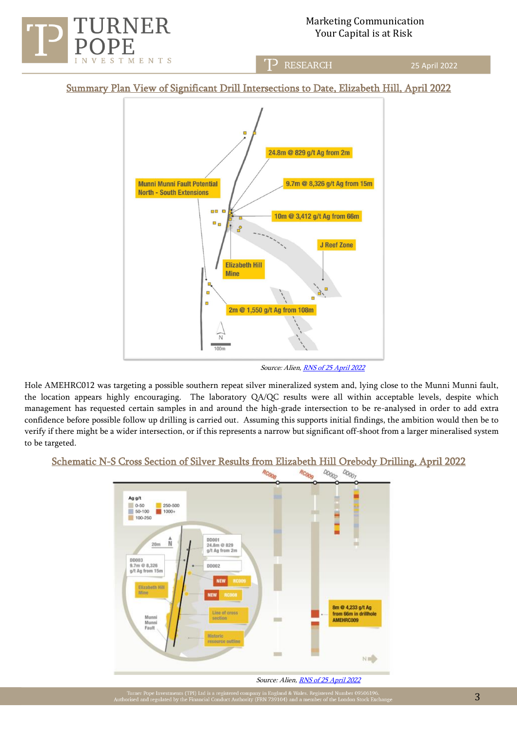

25 April 2022

Summary Plan View of Significant Drill Intersections to Date, Elizabeth Hill, April 2022

T<sup>></sup> RESEARCH



Source: Alien, RNS of 25 [April 2022](https://www.londonstockexchange.com/news-article/UFO/further-high-grade-assay-results-at-elizabeth-hill/15422512)

Hole AMEHRC012 was targeting a possible southern repeat silver mineralized system and, lying close to the Munni Munni fault, the location appears highly encouraging. The laboratory QA/QC results were all within acceptable levels, despite which management has requested certain samples in and around the high-grade intersection to be re-analysed in order to add extra confidence before possible follow up drilling is carried out. Assuming this supports initial findings, the ambition would then be to verify if there might be a wider intersection, or if this represents a narrow but significant off-shoot from a larger mineralised system to be targeted.

# Schematic N-S Cross Section of Silver Results from Elizabeth Hill Orebody Drilling, April 2022



Source: Alien, RNS of 25 April 2022

uner Pope Investments (TPI) Ltd is a regi<br>sed and regulated by the Einancial Condu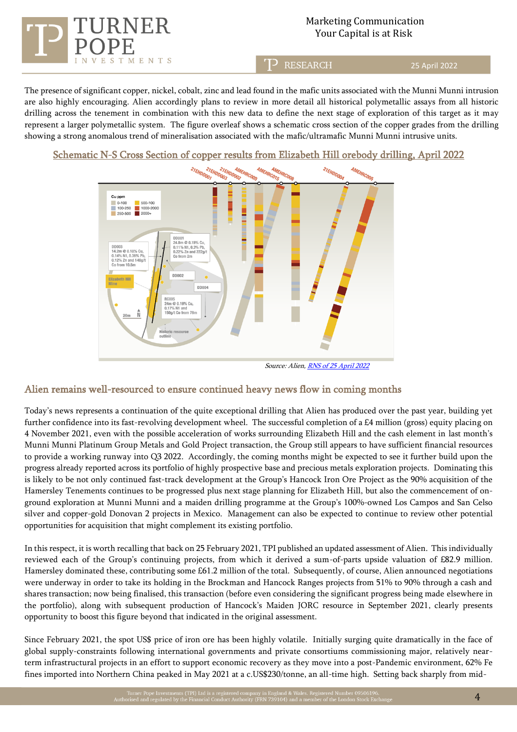

**RESEARCH** 

25 April 2022

The presence of significant copper, nickel, cobalt, zinc and lead found in the mafic units associated with the Munni Munni intrusion are also highly encouraging. Alien accordingly plans to review in more detail all historical polymetallic assays from all historic drilling across the tenement in combination with this new data to define the next stage of exploration of this target as it may represent a larger polymetallic system. The figure overleaf shows a schematic cross section of the copper grades from the drilling showing a strong anomalous trend of mineralisation associated with the mafic/ultramafic Munni Munni intrusive units.

Schematic N-S Cross Section of copper results from Elizabeth Hill orebody drilling, April 2022



Source: Alien, RNS of 25 April 2022

## Alien remains well-resourced to ensure continued heavy news flow in coming months

Today's news represents a continuation of the quite exceptional drilling that Alien has produced over the past year, building yet further confidence into its fast-revolving development wheel. The successful completion of a £4 million (gross) equity placing on 4 November 2021, even with the possible acceleration of works surrounding Elizabeth Hill and the cash element in last month's Munni Munni Platinum Group Metals and Gold Project transaction, the Group still appears to have sufficient financial resources to provide a working runway into Q3 2022. Accordingly, the coming months might be expected to see it further build upon the progress already reported across its portfolio of highly prospective base and precious metals exploration projects. Dominating this is likely to be not only continued fast-track development at the Group's Hancock Iron Ore Project as the 90% acquisition of the Hamersley Tenements continues to be progressed plus next stage planning for Elizabeth Hill, but also the commencement of onground exploration at Munni Munni and a maiden drilling programme at the Group's 100%-owned Los Campos and San Celso silver and copper-gold Donovan 2 projects in Mexico. Management can also be expected to continue to review other potential opportunities for acquisition that might complement its existing portfolio.

In this respect, it is worth recalling that back on 25 February 2021, TPI published an updated assessment of Alien. This individually reviewed each of the Group's continuing projects, from which it derived a sum-of-parts upside valuation of £82.9 million. Hamersley dominated these, contributing some £61.2 million of the total. Subsequently, of course, Alien announced negotiations were underway in order to take its holding in the Brockman and Hancock Ranges projects from 51% to 90% through a cash and shares transaction; now being finalised, this transaction (before even considering the significant progress being made elsewhere in the portfolio), along with subsequent production of Hancock's Maiden JORC resource in September 2021, clearly presents opportunity to boost this figure beyond that indicated in the original assessment.

Since February 2021, the spot US\$ price of iron ore has been highly volatile. Initially surging quite dramatically in the face of global supply-constraints following international governments and private consortiums commissioning major, relatively nearterm infrastructural projects in an effort to support economic recovery as they move into a post-Pandemic environment, 62% Fe fines imported into Northern China peaked in May 2021 at a c.US\$230/tonne, an all-time high. Setting back sharply from mid-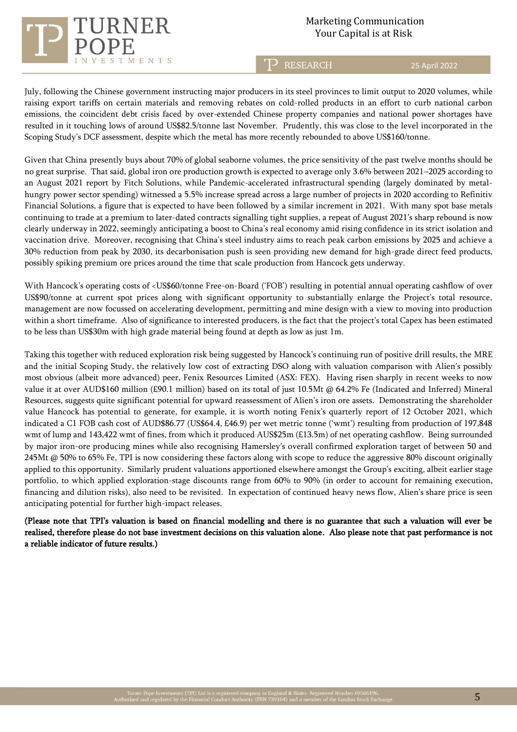### Marketing Communication Your Capital is at Risk

T<sup>></sup> RESEARCH

25 April 2022

July, following the Chinese government instructing major producers in its steel provinces to limit output to 2020 volumes, while raising export tariffs on certain materials and removing rebates on cold-rolled products in an effort to curb national carbon emissions, the coincident debt crisis faced by over-extended Chinese property companies and national power shortages have resulted in it touching lows of around US\$82.5/tonne last November. Prudently, this was close to the level incorporated in the Scoping Study's DCF assessment, despite which the metal has more recently rebounded to above US\$160/tonne.

MENTS

Given that China presently buys about 70% of global seaborne volumes, the price sensitivity of the past twelve months should be no great surprise. That said, global iron ore production growth is expected to average only 3.6% between 2021–2025 according to an August 2021 report by Fitch Solutions, while Pandemic-accelerated infrastructural spending (largely dominated by metalhungry power sector spending) witnessed a 5.5% increase spread across a large number of projects in 2020 according to Refinitiv Financial Solutions, a figure that is expected to have been followed by a similar increment in 2021. With many spot base metals continuing to trade at a premium to later-dated contracts signalling tight supplies, a repeat of August 2021's sharp rebound is now clearly underway in 2022, seemingly anticipating a boost to China's real economy amid rising confidence in its strict isolation and vaccination drive. Moreover, recognising that China's steel industry aims to reach peak carbon emissions by 2025 and achieve a 30% reduction from peak by 2030, its decarbonisation push is seen providing new demand for high-grade direct feed products, possibly spiking premium ore prices around the time that scale production from Hancock gets underway.

With Hancock's operating costs of <US\$60/tonne Free-on-Board ('FOB') resulting in potential annual operating cashflow of over US\$90/tonne at current spot prices along with significant opportunity to substantially enlarge the Project's total resource, management are now focussed on accelerating development, permitting and mine design with a view to moving into production within a short timeframe. Also of significance to interested producers, is the fact that the project's total Capex has been estimated to be less than US\$30m with high grade material being found at depth as low as just 1m.

Taking this together with reduced exploration risk being suggested by Hancock's continuing run of positive drill results, the MRE and the initial Scoping Study, the relatively low cost of extracting DSO along with valuation comparison with Alien's possibly most obvious (albeit more advanced) peer, Fenix Resources Limited (ASX: FEX). Having risen sharply in recent weeks to now value it at over AUD\$160 million (£90.1 million) based on its total of just 10.5Mt @ 64.2% Fe (Indicated and Inferred) Mineral Resources, suggests quite significant potential for upward reassessment of Alien's iron ore assets. Demonstrating the shareholder value Hancock has potential to generate, for example, it is worth noting Fenix's quarterly report of 12 October 2021, which indicated a C1 FOB cash cost of AUD\$86.77 (US\$64.4, £46.9) per wet metric tonne ('wmt') resulting from production of 197,848 wmt of lump and 143,422 wmt of fines, from which it produced AUS\$25m (£13.5m) of net operating cashflow. Being surrounded by major iron-ore producing mines while also recognising Hamersley's overall confirmed exploration target of between 50 and 245Mt @ 50% to 65% Fe, TPI is now considering these factors along with scope to reduce the aggressive 80% discount originally applied to this opportunity. Similarly prudent valuations apportioned elsewhere amongst the Group's exciting, albeit earlier stage portfolio, to which applied exploration-stage discounts range from 60% to 90% (in order to account for remaining execution, financing and dilution risks), also need to be revisited. In expectation of continued heavy news flow, Alien's share price is seen anticipating potential for further high-impact releases.

(Please note that TPI's valuation is based on financial modelling and there is no guarantee that such a valuation will ever be realised, therefore please do not base investment decisions on this valuation alone. Also please note that past performance is not a reliable indicator of future results.)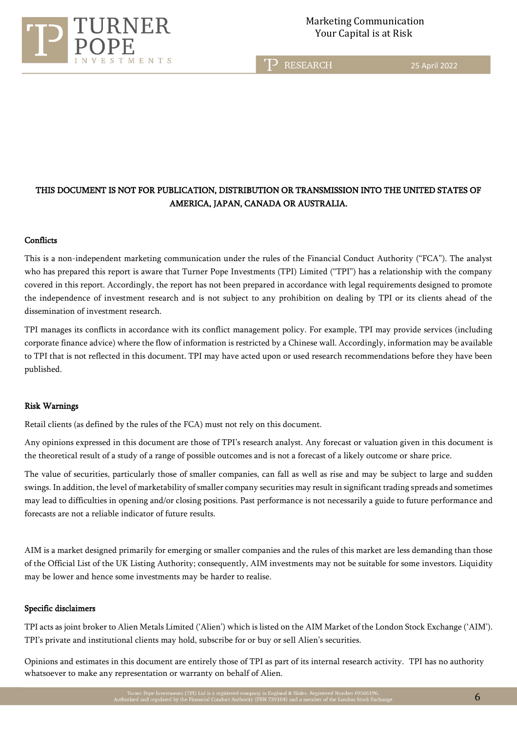

TP RESEARCH

25 April 2022

### THIS DOCUMENT IS NOT FOR PUBLICATION, DISTRIBUTION OR TRANSMISSION INTO THE UNITED STATES OF AMERICA, JAPAN, CANADA OR AUSTRALIA.

#### **Conflicts**

This is a non-independent marketing communication under the rules of the Financial Conduct Authority ("FCA"). The analyst who has prepared this report is aware that Turner Pope Investments (TPI) Limited ("TPI") has a relationship with the company covered in this report. Accordingly, the report has not been prepared in accordance with legal requirements designed to promote the independence of investment research and is not subject to any prohibition on dealing by TPI or its clients ahead of the dissemination of investment research.

TPI manages its conflicts in accordance with its conflict management policy. For example, TPI may provide services (including corporate finance advice) where the flow of information is restricted by a Chinese wall. Accordingly, information may be available to TPI that is not reflected in this document. TPI may have acted upon or used research recommendations before they have been published.

#### Risk Warnings

Retail clients (as defined by the rules of the FCA) must not rely on this document.

Any opinions expressed in this document are those of TPI's research analyst. Any forecast or valuation given in this document is the theoretical result of a study of a range of possible outcomes and is not a forecast of a likely outcome or share price.

The value of securities, particularly those of smaller companies, can fall as well as rise and may be subject to large and sudden swings. In addition, the level of marketability of smaller company securities may result in significant trading spreads and sometimes may lead to difficulties in opening and/or closing positions. Past performance is not necessarily a guide to future performance and forecasts are not a reliable indicator of future results.

AIM is a market designed primarily for emerging or smaller companies and the rules of this market are less demanding than those of the Official List of the UK Listing Authority; consequently, AIM investments may not be suitable for some investors. Liquidity may be lower and hence some investments may be harder to realise.

#### Specific disclaimers

TPI acts as joint broker to Alien Metals Limited ('Alien') which is listed on the AIM Market of the London Stock Exchange ('AIM'). TPI's private and institutional clients may hold, subscribe for or buy or sell Alien's securities.

Opinions and estimates in this document are entirely those of TPI as part of its internal research activity. TPI has no authority whatsoever to make any representation or warranty on behalf of Alien.